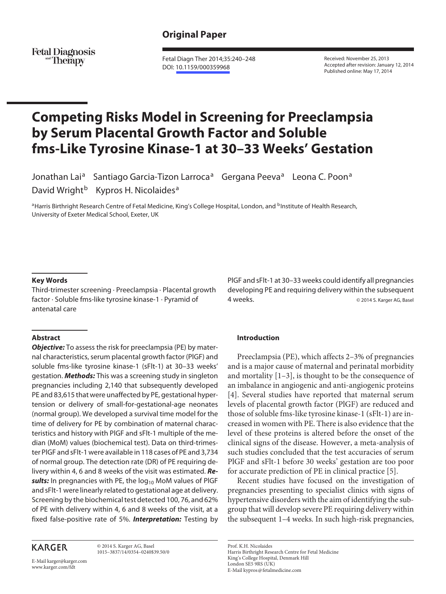## **Original Paper**

**Fetal Diagnosis** and **Therapy** 

 Fetal Diagn Ther 2014;35:240–248 DOI: [10.1159/000359968](http://dx.doi.org/10.1159%2F000359968)

 Received: November 25, 2013 Accepted after revision: January 12, 2014 Published online: May 17, 2014

# **Competing Risks Model in Screening for Preeclampsia by Serum Placental Growth Factor and Soluble fms-Like Tyrosine Kinase-1 at 30–33 Weeks' Gestation**

Jonathan Lai<sup>a</sup> Santiago Garcia-Tizon Larroca<sup>a</sup> Gergana Peeva<sup>a</sup> Leona C. Poon<sup>a</sup> David Wright<sup>b</sup> Kypros H. Nicolaides<sup>a</sup>

a Harris Birthright Research Centre of Fetal Medicine, King's College Hospital, London, and <sup>b</sup>Institute of Health Research, University of Exeter Medical School, Exeter, UK

#### **Key Words**

 Third-trimester screening · Preeclampsia · Placental growth factor · Soluble fms-like tyrosine kinase-1 · Pyramid of antenatal care

#### **Abstract**

*Objective:* To assess the risk for preeclampsia (PE) by maternal characteristics, serum placental growth factor (PlGF) and soluble fms-like tyrosine kinase-1 (sFlt-1) at 30–33 weeks' gestation. *Methods:* This was a screening study in singleton pregnancies including 2,140 that subsequently developed PE and 83,615 that were unaffected by PE, gestational hypertension or delivery of small-for-gestational-age neonates (normal group). We developed a survival time model for the time of delivery for PE by combination of maternal characteristics and history with PlGF and sFlt-1 multiple of the median (MoM) values (biochemical test). Data on third-trimester PlGF and sFlt-1 were available in 118 cases of PE and 3,734 of normal group. The detection rate (DR) of PE requiring delivery within 4, 6 and 8 weeks of the visit was estimated. *Re*sults: In pregnancies with PE, the log<sub>10</sub> MoM values of PIGF and sFlt-1 were linearly related to gestational age at delivery. Screening by the biochemical test detected 100, 76, and 62% of PE with delivery within 4, 6 and 8 weeks of the visit, at a fixed false-positive rate of 5%. *Interpretation:* Testing by

# **KARGER**

 © 2014 S. Karger AG, Basel 1015–3837/14/0354–0240\$39.50/0

E-Mail karger@karger.com www.karger.com/fdt

PlGF and sFlt-1 at 30–33 weeks could identify all pregnancies developing PE and requiring delivery within the subsequent 4 weeks. **and Strutter August 2014** S. Karger AG, Basel

#### **Introduction**

 Preeclampsia (PE), which affects 2–3% of pregnancies and is a major cause of maternal and perinatal morbidity and mortality  $[1-3]$ , is thought to be the consequence of an imbalance in angiogenic and anti-angiogenic proteins [4]. Several studies have reported that maternal serum levels of placental growth factor (PlGF) are reduced and those of soluble fms-like tyrosine kinase-1 (sFlt-1) are increased in women with PE. There is also evidence that the level of these proteins is altered before the onset of the clinical signs of the disease. However, a meta-analysis of such studies concluded that the test accuracies of serum PlGF and sFlt-1 before 30 weeks' gestation are too poor for accurate prediction of PE in clinical practice [5] .

 Recent studies have focused on the investigation of pregnancies presenting to specialist clinics with signs of hypertensive disorders with the aim of identifying the subgroup that will develop severe PE requiring delivery within the subsequent 1–4 weeks. In such high-risk pregnancies,

 Prof. K.H. Nicolaides Harris Birthright Research Centre for Fetal Medicine King's College Hospital, Denmark Hill London SE5 9RS (UK) E-Mail kypros @ fetalmedicine.com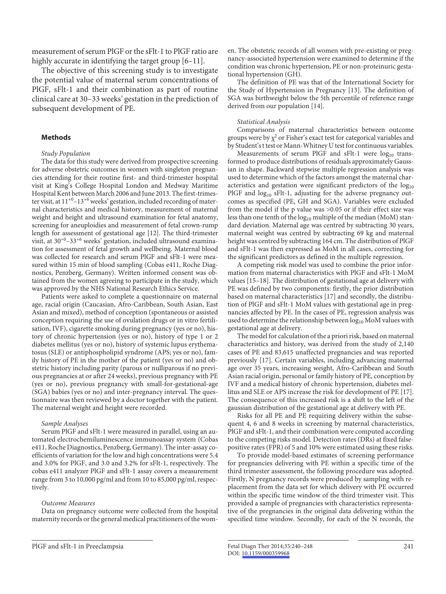measurement of serum PlGF or the sFlt-1 to PlGF ratio are highly accurate in identifying the target group [6–11].

 The objective of this screening study is to investigate the potential value of maternal serum concentrations of PlGF, sFlt-1 and their combination as part of routine clinical care at 30–33 weeks' gestation in the prediction of subsequent development of PE.

#### **Methods**

#### *Study Population*

 The data for this study were derived from prospective screening for adverse obstetric outcomes in women with singleton pregnancies attending for their routine first- and third-trimester hospital visit at King's College Hospital London and Medway Maritime Hospital Kent between March 2006 and June 2013. The first-trimester visit, at  $11^{+0}$ – $13^{+6}$  weeks' gestation, included recording of maternal characteristics and medical history, measurement of maternal weight and height and ultrasound examination for fetal anatomy, screening for aneuploidies and measurement of fetal crown-rump length for assessment of gestational age [12]. The third-trimester visit, at  $30^{+0}$ -33<sup>+6</sup> weeks' gestation, included ultrasound examination for assessment of fetal growth and wellbeing. Maternal blood was collected for research and serum PlGF and sFlt-1 were measured within 15 min of blood sampling (Cobas e411, Roche Diagnostics, Penzberg, Germany). Written informed consent was obtained from the women agreeing to participate in the study, which was approved by the NHS National Research Ethics Service.

 Patients were asked to complete a questionnaire on maternal age, racial origin (Caucasian, Afro-Caribbean, South Asian, East Asian and mixed), method of conception (spontaneous or assisted conception requiring the use of ovulation drugs or in vitro fertilisation, IVF), cigarette smoking during pregnancy (yes or no), history of chronic hypertension (yes or no), history of type 1 or 2 diabetes mellitus (yes or no), history of systemic lupus erythematosus (SLE) or antiphospholipid syndrome (APS; yes or no), family history of PE in the mother of the patient (yes or no) and obstetric history including parity (parous or nulliparous if no previous pregnancies at or after 24 weeks), previous pregnancy with PE (yes or no), previous pregnancy with small-for-gestational-age (SGA) babies (yes or no) and inter-pregnancy interval. The questionnaire was then reviewed by a doctor together with the patient. The maternal weight and height were recorded.

#### *Sample Analyses*

 Serum PlGF and sFlt-1 were measured in parallel, using an automated electrochemiluminescence immunoassay system (Cobas e411, Roche Diagnostics, Penzberg, Germany). The inter-assay coefficients of variation for the low and high concentrations were 5.4 and 3.0% for PlGF, and 3.0 and 3.2% for sFlt-1, respectively. The cobas e411 analyzer PlGF and sFlt-1 assay covers a measurement range from 3 to 10,000 pg/ml and from 10 to 85,000 pg/ml, respectively.

#### *Outcome Measures*

 Data on pregnancy outcome were collected from the hospital maternity records or the general medical practitioners of the women. The obstetric records of all women with pre-existing or pregnancy-associated hypertension were examined to determine if the condition was chronic hypertension, PE or non-proteinuric gestational hypertension (GH).

 The definition of PE was that of the International Society for the Study of Hypertension in Pregnancy [13]. The definition of SGA was birthweight below the 5th percentile of reference range derived from our population [14].

#### *Statistical Analysis*

 Comparisons of maternal characteristics between outcome groups were by  $\chi^2$  or Fisher's exact test for categorical variables and by Student's t test or Mann-Whitney U test for continuous variables.

Measurements of serum PlGF and sFlt-1 were  $log_{10}$  transformed to produce distributions of residuals approximately Gaussian in shape. Backward stepwise multiple regression analysis was used to determine which of the factors amongst the maternal characteristics and gestation were significant predictors of the  $log_{10}$ PlGF and  $log_{10}$  sFlt-1, adjusting for the adverse pregnancy outcomes as specified (PE, GH and SGA). Variables were excluded from the model if the p value was >0.05 or if their effect size was less than one tenth of the  $log_{10}$  multiple of the median (MoM) standard deviation. Maternal age was centred by subtracting 30 years, maternal weight was centred by subtracting 69 kg and maternal height was centred by subtracting 164 cm. The distribution of PlGF and sFlt-1 was then expressed as MoM in all cases, correcting for the significant predictors as defined in the multiple regression.

 A competing risk model was used to combine the prior information from maternal characteristics with PlGF and sFlt-1 MoM values [15–18]. The distribution of gestational age at delivery with PE was defined by two components: firstly, the prior distribution based on maternal characteristics [17] and secondly, the distribution of PlGF and sFlt-1 MoM values with gestational age in pregnancies affected by PE. In the cases of PE, regression analysis was used to determine the relationship between log<sub>10</sub> MoM values with gestational age at delivery.

 The model for calculation of the a priori risk, based on maternal characteristics and history, was derived from the study of 2,140 cases of PE and 83,615 unaffected pregnancies and was reported previously [17]. Certain variables, including advancing maternal age over 35 years, increasing weight, Afro-Caribbean and South Asian racial origin, personal or family history of PE, conception by IVF and a medical history of chronic hypertension, diabetes mellitus and SLE or APS increase the risk for development of PE [17] . The consequence of this increased risk is a shift to the left of the gaussian distribution of the gestational age at delivery with PE.

 Risks for all PE and PE requiring delivery within the subsequent 4, 6 and 8 weeks in screening by maternal characteristics, PlGF and sFlt-1, and their combination were computed according to the competing risks model. Detection rates (DRs) at fixed falsepositive rates (FPR) of 5 and 10% were estimated using these risks.

 To provide model-based estimates of screening performance for pregnancies delivering with PE within a specific time of the third trimester assessment, the following procedure was adopted. Firstly, N pregnancy records were produced by sampling with replacement from the data set for which delivery with PE occurred within the specific time window of the third trimester visit. This provided a sample of pregnancies with characteristics representative of the pregnancies in the original data delivering within the specified time window. Secondly, for each of the N records, the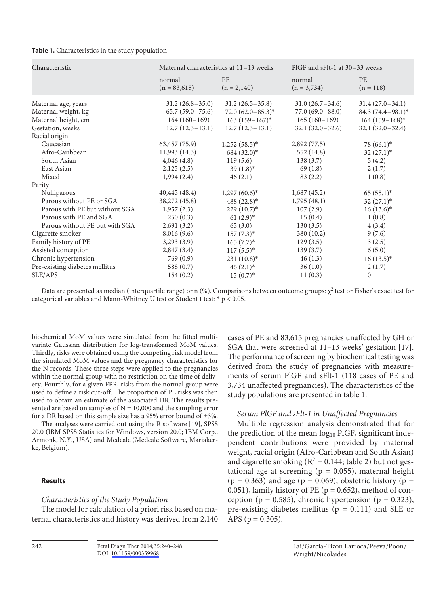| Characteristic                 | Maternal characteristics at 11-13 weeks |                            | PIGF and sFIt-1 at 30-33 weeks |                          |  |
|--------------------------------|-----------------------------------------|----------------------------|--------------------------------|--------------------------|--|
|                                | normal<br>$(n = 83,615)$                | <b>PE</b><br>$(n = 2,140)$ | normal<br>$(n = 3,734)$        | <b>PE</b><br>$(n = 118)$ |  |
| Maternal age, years            | $31.2(26.8-35.0)$                       | $31.2(26.5-35.8)$          | $31.0(26.7 - 34.6)$            | $31.4(27.0-34.1)$        |  |
| Maternal weight, kg            | $65.7(59.0-75.6)$                       | $72.0 (62.0 - 85.3)^*$     | $77.0(69.0-88.0)$              | 84.3 $(74.4 - 98.1)^*$   |  |
| Maternal height, cm            | $164(160-169)$                          | $163(159-167)^*$           | $165(160-169)$                 | $164(159-168)*$          |  |
| Gestation, weeks               | $12.7(12.3-13.1)$                       | $12.7(12.3-13.1)$          | $32.1 (32.0 - 32.6)$           | $32.1 (32.0 - 32.4)$     |  |
| Racial origin                  |                                         |                            |                                |                          |  |
| Caucasian                      | 63,457 (75.9)                           | $1,252(58.5)$ *            | 2,892(77.5)                    | $78(66.1)^*$             |  |
| Afro-Caribbean                 | 11,993(14.3)                            | $684 (32.0)^*$             | 552 (14.8)                     | $32(27.1)^*$             |  |
| South Asian                    | 4,046(4.8)                              | 119(5.6)                   | 138(3.7)                       | 5(4.2)                   |  |
| East Asian                     | 2,125(2.5)                              | $39(1.8)^*$                | 69(1.8)                        | 2(1.7)                   |  |
| Mixed                          | 1,994(2.4)                              | 46(2.1)                    | 83(2.2)                        | 1(0.8)                   |  |
| Parity                         |                                         |                            |                                |                          |  |
| Nulliparous                    | 40,445 (48.4)                           | $1,297(60.6)*$             | 1,687(45.2)                    | $65(55.1)^*$             |  |
| Parous without PE or SGA       | 38,272 (45.8)                           | 488 $(22.8)$ *             | 1,795(48.1)                    | $32(27.1)^*$             |  |
| Parous with PE but without SGA | 1,957(2.3)                              | $229(10.7)^*$              | 107(2.9)                       | $16(13.6)^*$             |  |
| Parous with PE and SGA         | 250(0.3)                                | $61(2.9)$ *                | 15(0.4)                        | 1(0.8)                   |  |
| Parous without PE but with SGA | 2,691(3.2)                              | 65(3.0)                    | 130(3.5)                       | 4(3.4)                   |  |
| Cigarette smoker               | 8,016 (9.6)                             | $157(7.3)^*$               | 380 (10.2)                     | 9(7.6)                   |  |
| Family history of PE           | 3,293(3.9)                              | $165 (7.7)^*$              | 129(3.5)                       | 3(2.5)                   |  |
| Assisted conception            | 2,847(3.4)                              | $117(5.5)^*$               | 139(3.7)                       | 6(5.0)                   |  |
| Chronic hypertension           | 769 (0.9)                               | $231(10.8)^*$              | 46(1.3)                        | $16(13.5)^*$             |  |
| Pre-existing diabetes mellitus | 588 (0.7)                               | $46(2.1)$ *                | 36(1.0)                        | 2(1.7)                   |  |
| SLE/APS                        | 154(0.2)                                | $15(0.7)^*$                | 11(0.3)                        | $\Omega$                 |  |

Data are presented as median (interquartile range) or n (%). Comparisons between outcome groups:  $\chi^2$  test or Fisher's exact test for categorical variables and Mann-Whitney U test or Student t test: \* p < 0.05.

biochemical MoM values were simulated from the fitted multivariate Gaussian distribution for log-transformed MoM values. Thirdly, risks were obtained using the competing risk model from the simulated MoM values and the pregnancy characteristics for the N records. These three steps were applied to the pregnancies within the normal group with no restriction on the time of delivery. Fourthly, for a given FPR, risks from the normal group were used to define a risk cut-off. The proportion of PE risks was then used to obtain an estimate of the associated DR. The results presented are based on samples of  $N = 10,000$  and the sampling error for a DR based on this sample size has a 95% error bound of ±3%.

The analyses were carried out using the R software [19], SPSS 20.0 (IBM SPSS Statistics for Windows, version 20.0; IBM Corp., Armonk, N.Y., USA) and Medcalc (Medcalc Software, Mariakerke, Belgium).

## **Results**

## *Characteristics of the Study Population*

 The model for calculation of a priori risk based on maternal characteristics and history was derived from 2,140 cases of PE and 83,615 pregnancies unaffected by GH or SGA that were screened at 11–13 weeks' gestation [17]. The performance of screening by biochemical testing was derived from the study of pregnancies with measurements of serum PlGF and sFlt-1 (118 cases of PE and 3,734 unaffected pregnancies). The characteristics of the study populations are presented in table 1.

## *Serum PlGF and sFlt-1 in Unaffected Pregnancies*

 Multiple regression analysis demonstrated that for the prediction of the mean  $log_{10}$  PlGF, significant independent contributions were provided by maternal weight, racial origin (Afro-Caribbean and South Asian) and cigarette smoking ( $R^2 = 0.144$ ; table 2) but not gestational age at screening ( $p = 0.055$ ), maternal height  $(p = 0.363)$  and age  $(p = 0.069)$ , obstetric history  $(p = 0.363)$ 0.051), family history of PE ( $p = 0.652$ ), method of conception ( $p = 0.585$ ), chronic hypertension ( $p = 0.323$ ), pre-existing diabetes mellitus ( $p = 0.111$ ) and SLE or APS ( $p = 0.305$ ).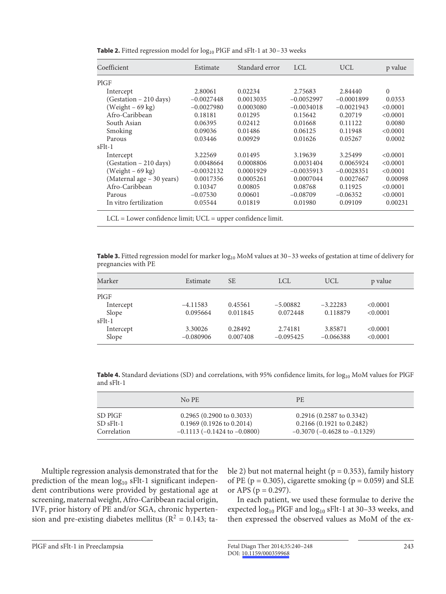| Coefficient               | Estimate     | Standard error | <b>LCL</b>   | <b>UCL</b>   | p value  |  |
|---------------------------|--------------|----------------|--------------|--------------|----------|--|
| PIGF                      |              |                |              |              |          |  |
| Intercept                 | 2.80061      | 0.02234        | 2.75683      | 2.84440      | $\Omega$ |  |
| (Gestation - 210 days)    | $-0.0027448$ | 0.0013035      | $-0.0052997$ | $-0.0001899$ | 0.0353   |  |
| $(Weight - 69 kg)$        | $-0.0027980$ | 0.0003080      | $-0.0034018$ | $-0.0021943$ | < 0.0001 |  |
| Afro-Caribbean            | 0.18181      | 0.01295        | 0.15642      | 0.20719      | < 0.0001 |  |
| South Asian               | 0.06395      | 0.02412        | 0.01668      | 0.11122      | 0.0080   |  |
| Smoking                   | 0.09036      | 0.01486        | 0.06125      | 0.11948      | < 0.0001 |  |
| Parous                    | 0.03446      | 0.00929        | 0.01626      | 0.05267      | 0.0002   |  |
| $sF1t-1$                  |              |                |              |              |          |  |
| Intercept                 | 3.22569      | 0.01495        | 3.19639      | 3.25499      | < 0.0001 |  |
| (Gestation – 210 days)    | 0.0048664    | 0.0008806      | 0.0031404    | 0.0065924    | < 0.0001 |  |
| $(Weight - 69 kg)$        | $-0.0032132$ | 0.0001929      | $-0.0035913$ | $-0.0028351$ | < 0.0001 |  |
| (Maternal age - 30 years) | 0.0017356    | 0.0005261      | 0.0007044    | 0.0027667    | 0.00098  |  |
| Afro-Caribbean            | 0.10347      | 0.00805        | 0.08768      | 0.11925      | < 0.0001 |  |
| Parous                    | $-0.07530$   | 0.00601        | $-0.08709$   | $-0.06352$   | < 0.0001 |  |
| In vitro fertilization    | 0.05544      | 0.01819        | 0.01980      | 0.09109      | 0.00231  |  |

**Table 2.** Fitted regression model for  $log_{10}$  PlGF and sFlt-1 at 30-33 weeks

LCL = Lower confidence limit; UCL = upper confidence limit.

**Table 3.** Fitted regression model for marker  $log_{10}$  MoM values at 30-33 weeks of gestation at time of delivery for pregnancies with PE

| Marker    | Estimate    | <b>SE</b> | <b>LCL</b>  | <b>UCL</b>  | p value  |  |
|-----------|-------------|-----------|-------------|-------------|----------|--|
| PIGF      |             |           |             |             |          |  |
| Intercept | $-4.11583$  | 0.45561   | $-5.00882$  | $-3.22283$  | < 0.0001 |  |
| Slope     | 0.095664    | 0.011845  | 0.072448    | 0.118879    | < 0.0001 |  |
| $sFlt-1$  |             |           |             |             |          |  |
| Intercept | 3.30026     | 0.28492   | 2.74181     | 3.85871     | < 0.0001 |  |
| Slope     | $-0.080906$ | 0.007408  | $-0.095425$ | $-0.066388$ | < 0.0001 |  |

**Table 4.** Standard deviations (SD) and correlations, with 95% confidence limits, for log<sub>10</sub> MoM values for PlGF and sFlt-1

|               | $No$ PE                              | PE.                                  |
|---------------|--------------------------------------|--------------------------------------|
| SD PIGF       | $0.2965(0.2900 \text{ to } 0.3033)$  | $0.2916(0.2587 \text{ to } 0.3342)$  |
| $SD$ $sFlt-1$ | $0.1969$ (0.1926 to 0.2014)          | $0.2166(0.1921$ to $0.2482)$         |
| Correlation   | $-0.1113$ ( $-0.1424$ to $-0.0800$ ) | $-0.3070$ ( $-0.4628$ to $-0.1329$ ) |

 Multiple regression analysis demonstrated that for the prediction of the mean  $log_{10}$  sFlt-1 significant independent contributions were provided by gestational age at screening, maternal weight, Afro-Caribbean racial origin, IVF, prior history of PE and/or SGA, chronic hypertension and pre-existing diabetes mellitus ( $R^2 = 0.143$ ; table 2) but not maternal height ( $p = 0.353$ ), family history of PE ( $p = 0.305$ ), cigarette smoking ( $p = 0.059$ ) and SLE or APS ( $p = 0.297$ ).

 In each patient, we used these formulae to derive the expected  $log_{10}$  PlGF and  $log_{10}$  sFlt-1 at 30-33 weeks, and then expressed the observed values as MoM of the ex-

PlGF and sFlt-1 in Preeclampsia Fetal Diagn Ther 2014;35:240-248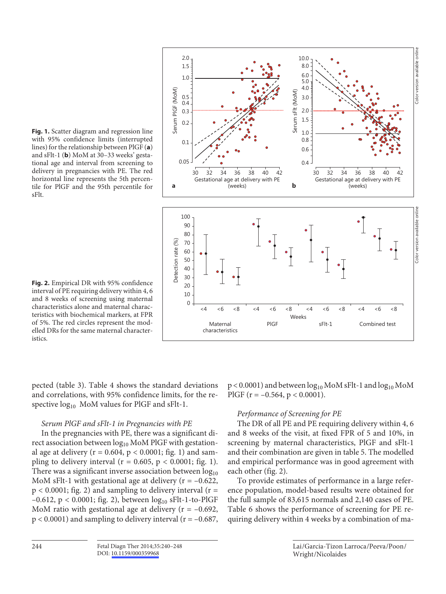

**Fig. 1.** Scatter diagram and regression line with 95% confidence limits (interrupted lines) for the relationship between PlGF ( **a** ) and sFlt-1 (**b**) MoM at 30-33 weeks' gestational age and interval from screening to delivery in pregnancies with PE. The red horizontal line represents the 5th percentile for PlGF and the 95th percentile for sFlt.

**Fig. 2.** Empirical DR with 95% confidence interval of PE requiring delivery within 4, 6 and 8 weeks of screening using maternal characteristics alone and maternal characteristics with biochemical markers, at FPR of 5%. The red circles represent the modelled DRs for the same maternal characteristics.

pected (table 3). Table 4 shows the standard deviations and correlations, with 95% confidence limits, for the respective  $log_{10}$  MoM values for PlGF and sFlt-1.

## *Serum PlGF and sFlt-1 in Pregnancies with PE*

 In the pregnancies with PE, there was a significant direct association between  $log_{10}$  MoM PlGF with gestational age at delivery ( $r = 0.604$ ,  $p < 0.0001$ ; fig. 1) and sampling to delivery interval ( $r = 0.605$ ,  $p < 0.0001$ ; fig. 1). There was a significant inverse association between  $log_{10}$ MoM sFlt-1 with gestational age at delivery ( $r = -0.622$ ,  $p < 0.0001$ ; fig. 2) and sampling to delivery interval ( $r =$  $-0.612$ , p < 0.0001; fig. 2), between  $log_{10}$  sFlt-1-to-PlGF MoM ratio with gestational age at delivery ( $r = -0.692$ ,  $p < 0.0001$ ) and sampling to delivery interval ( $r = -0.687$ ,  $p < 0.0001$ ) and between  $log_{10}$  MoM sFlt-1 and  $log_{10}$  MoM PlGF ( $r = -0.564$ ,  $p < 0.0001$ ).

## *Performance of Screening for PE*

 The DR of all PE and PE requiring delivery within 4, 6 and 8 weeks of the visit, at fixed FPR of 5 and 10%, in screening by maternal characteristics, PlGF and sFlt-1 and their combination are given in table 5. The modelled and empirical performance was in good agreement with each other (fig. 2).

 To provide estimates of performance in a large reference population, model-based results were obtained for the full sample of 83,615 normals and 2,140 cases of PE. Table 6 shows the performance of screening for PE re-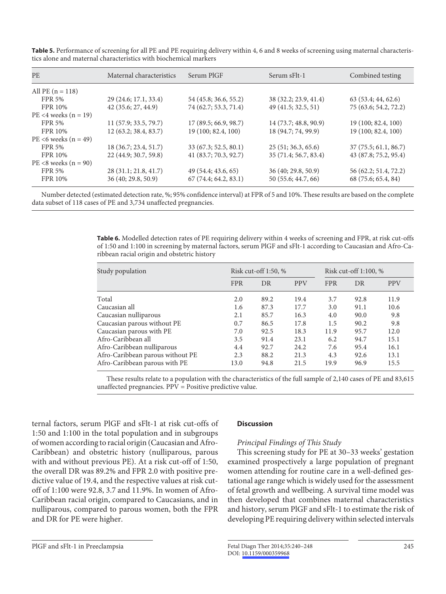| <b>PE</b>                 | Maternal characteristics | Serum PIGF            | Serum sFlt-1          | Combined testing      |
|---------------------------|--------------------------|-----------------------|-----------------------|-----------------------|
| All PE $(n = 118)$        |                          |                       |                       |                       |
| <b>FPR 5%</b>             | 29 (24.6; 17.1, 33.4)    | 54 (45.8; 36.6, 55.2) | 38 (32.2; 23.9, 41.4) | 63 (53.4; 44, 62.6)   |
| <b>FPR 10%</b>            | 42 (35.6; 27, 44.9)      | 74 (62.7; 53.3, 71.4) | 49 (41.5; 32.5, 51)   | 75 (63.6; 54.2, 72.2) |
| $PE < 4$ weeks $(n = 19)$ |                          |                       |                       |                       |
| <b>FPR 5%</b>             | 11 (57.9; 33.5, 79.7)    | 17(89.5; 66.9, 98.7)  | 14 (73.7; 48.8, 90.9) | 19 (100; 82.4, 100)   |
| FPR 10%                   | 12(63.2; 38.4, 83.7)     | 19 (100; 82.4, 100)   | 18 (94.7; 74, 99.9)   | 19 (100; 82.4, 100)   |
| PE <6 weeks $(n = 49)$    |                          |                       |                       |                       |
| <b>FPR 5%</b>             | 18 (36.7; 23.4, 51.7)    | 33 (67.3; 52.5, 80.1) | 25(51; 36.3, 65.6)    | 37(75.5; 61.1, 86.7)  |
| <b>FPR 10%</b>            | 22 (44.9; 30.7, 59.8)    | 41 (83.7; 70.3, 92.7) | 35 (71.4; 56.7, 83.4) | 43 (87.8; 75.2, 95.4) |
| $PE < 8$ weeks $(n = 90)$ |                          |                       |                       |                       |
| <b>FPR 5%</b>             | 28 (31.1; 21.8, 41.7)    | 49 (54.4; 43.6, 65)   | 36 (40; 29.8, 50.9)   | 56 (62.2; 51.4, 72.2) |
| <b>FPR 10%</b>            | 36 (40; 29.8, 50.9)      | 67(74.4; 64.2, 83.1)  | 50 (55.6; 44.7, 66)   | 68 (75.6; 65.4, 84)   |
|                           |                          |                       |                       |                       |

**Table 5.** Performance of screening for all PE and PE requiring delivery within 4, 6 and 8 weeks of screening using maternal characteristics alone and maternal characteristics with biochemical markers

 Number detected (estimated detection rate, %; 95% confidence interval) at FPR of 5 and 10%. These results are based on the complete data subset of 118 cases of PE and 3,734 unaffected pregnancies.

> **Table 6.** Modelled detection rates of PE requiring delivery within 4 weeks of screening and FPR, at risk cut-offs of 1:50 and 1:100 in screening by maternal factors, serum PlGF and sFlt-1 according to Caucasian and Afro-Caribbean racial origin and obstetric history

| Study population                 | Risk cut-off $1:50, %$ |      |            |            | Risk cut-off $1:100, %$ |            |  |
|----------------------------------|------------------------|------|------------|------------|-------------------------|------------|--|
|                                  | <b>FPR</b>             | DR   | <b>PPV</b> | <b>FPR</b> | DR                      | <b>PPV</b> |  |
| Total                            | 2.0                    | 89.2 | 19.4       | 3.7        | 92.8                    | 11.9       |  |
| Caucasian all                    | 1.6                    | 87.3 | 17.7       | 3.0        | 91.1                    | 10.6       |  |
| Caucasian nulliparous            | 2.1                    | 85.7 | 16.3       | 4.0        | 90.0                    | 9.8        |  |
| Caucasian parous without PE      | 0.7                    | 86.5 | 17.8       | 1.5        | 90.2                    | 9.8        |  |
| Caucasian parous with PE         | 7.0                    | 92.5 | 18.3       | 11.9       | 95.7                    | 12.0       |  |
| Afro-Caribbean all               | 3.5                    | 91.4 | 23.1       | 6.2        | 94.7                    | 15.1       |  |
| Afro-Caribbean nulliparous       | 4.4                    | 92.7 | 24.2       | 7.6        | 95.4                    | 16.1       |  |
| Afro-Caribbean parous without PE | 2.3                    | 88.2 | 21.3       | 4.3        | 92.6                    | 13.1       |  |
| Afro-Caribbean parous with PE    | 13.0                   | 94.8 | 21.5       | 19.9       | 96.9                    | 15.5       |  |

 These results relate to a population with the characteristics of the full sample of 2,140 cases of PE and 83,615 unaffected pregnancies. PPV = Positive predictive value.

ternal factors, serum PlGF and sFlt-1 at risk cut-offs of 1:50 and 1:100 in the total population and in subgroups of women according to racial origin (Caucasian and Afro-Caribbean) and obstetric history (nulliparous, parous with and without previous PE). At a risk cut-off of 1:50, the overall DR was 89.2% and FPR 2.0 with positive predictive value of 19.4, and the respective values at risk cutoff of 1:100 were 92.8, 3.7 and 11.9%. In women of Afro-Caribbean racial origin, compared to Caucasians, and in nulliparous, compared to parous women, both the FPR and DR for PE were higher.

## **Discussion**

## *Principal Findings of This Study*

 This screening study for PE at 30–33 weeks' gestation examined prospectively a large population of pregnant women attending for routine care in a well-defined gestational age range which is widely used for the assessment of fetal growth and wellbeing. A survival time model was then developed that combines maternal characteristics and history, serum PlGF and sFlt-1 to estimate the risk of developing PE requiring delivery within selected intervals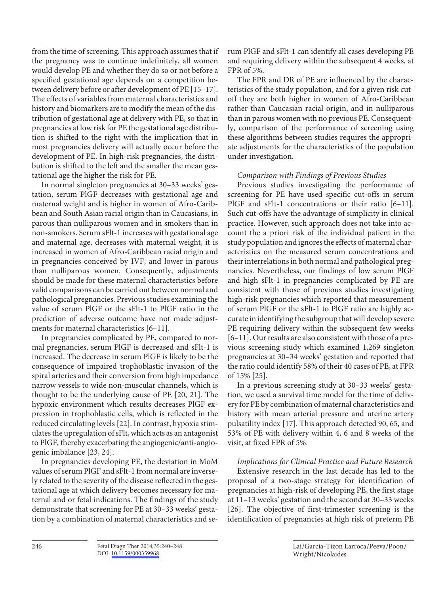from the time of screening. This approach assumes that if the pregnancy was to continue indefinitely, all women would develop PE and whether they do so or not before a specified gestational age depends on a competition between delivery before or after development of PE [15–17] . The effects of variables from maternal characteristics and history and biomarkers are to modify the mean of the distribution of gestational age at delivery with PE, so that in pregnancies at low risk for PE the gestational age distribution is shifted to the right with the implication that in most pregnancies delivery will actually occur before the development of PE. In high-risk pregnancies, the distribution is shifted to the left and the smaller the mean gestational age the higher the risk for PE.

 In normal singleton pregnancies at 30–33 weeks' gestation, serum PlGF decreases with gestational age and maternal weight and is higher in women of Afro-Caribbean and South Asian racial origin than in Caucasians, in parous than nulliparous women and in smokers than in non-smokers. Serum sFlt-1 increases with gestational age and maternal age, decreases with maternal weight, it is increased in women of Afro-Caribbean racial origin and in pregnancies conceived by IVF, and lower in parous than nulliparous women. Consequently, adjustments should be made for these maternal characteristics before valid comparisons can be carried out between normal and pathological pregnancies. Previous studies examining the value of serum PlGF or the sFlt-1 to PlGF ratio in the prediction of adverse outcome have not made adjustments for maternal characteristics [6-11].

 In pregnancies complicated by PE, compared to normal pregnancies, serum PlGF is decreased and sFlt-1 is increased. The decrease in serum PlGF is likely to be the consequence of impaired trophoblastic invasion of the spiral arteries and their conversion from high impedance narrow vessels to wide non-muscular channels, which is thought to be the underlying cause of PE [20, 21]. The hypoxic environment which results decreases PlGF expression in trophoblastic cells, which is reflected in the reduced circulating levels [22] . In contrast, hypoxia stimulates the upregulation of sFlt, which acts as an antagonist to PlGF, thereby exacerbating the angiogenic/anti-angiogenic imbalance [23, 24] .

 In pregnancies developing PE, the deviation in MoM values of serum PlGF and sFlt-1 from normal are inversely related to the severity of the disease reflected in the gestational age at which delivery becomes necessary for maternal and or fetal indications. The findings of the study demonstrate that screening for PE at 30–33 weeks' gestation by a combination of maternal characteristics and serum PlGF and sFlt-1 can identify all cases developing PE and requiring delivery within the subsequent 4 weeks, at FPR of 5%.

 The FPR and DR of PE are influenced by the characteristics of the study population, and for a given risk cutoff they are both higher in women of Afro-Caribbean rather than Caucasian racial origin, and in nulliparous than in parous women with no previous PE. Consequently, comparison of the performance of screening using these algorithms between studies requires the appropriate adjustments for the characteristics of the population under investigation.

## *Comparison with Findings of Previous Studies*

 Previous studies investigating the performance of screening for PE have used specific cut-offs in serum PlGF and sFlt-1 concentrations or their ratio [6–11]. Such cut-offs have the advantage of simplicity in clinical practice. However, such approach does not take into account the a priori risk of the individual patient in the study population and ignores the effects of maternal characteristics on the measured serum concentrations and their interrelations in both normal and pathological pregnancies. Nevertheless, our findings of low serum PlGF and high sFlt-1 in pregnancies complicated by PE are consistent with those of previous studies investigating high-risk pregnancies which reported that measurement of serum PlGF or the sFlt-1 to PlGF ratio are highly accurate in identifying the subgroup that will develop severe PE requiring delivery within the subsequent few weeks [6–11] . Our results are also consistent with those of a previous screening study which examined 1,269 singleton pregnancies at 30–34 weeks' gestation and reported that the ratio could identify 58% of their 40 cases of PE, at FPR of 15% [25] .

 In a previous screening study at 30–33 weeks' gestation, we used a survival time model for the time of delivery for PE by combination of maternal characteristics and history with mean arterial pressure and uterine artery pulsatility index [17]. This approach detected 90, 65, and 53% of PE with delivery within 4, 6 and 8 weeks of the visit, at fixed FPR of 5%.

## *Implications for Clinical Practice and Future Research*

 Extensive research in the last decade has led to the proposal of a two-stage strategy for identification of pregnancies at high-risk of developing PE, the first stage at 11–13 weeks' gestation and the second at 30–33 weeks [26]. The objective of first-trimester screening is the identification of pregnancies at high risk of preterm PE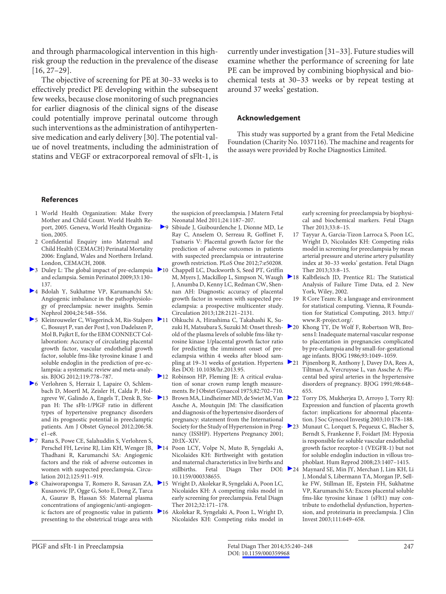and through pharmacological intervention in this highrisk group the reduction in the prevalence of the disease  $[16, 27-29]$ .

 The objective of screening for PE at 30–33 weeks is to effectively predict PE developing within the subsequent few weeks, because close monitoring of such pregnancies for earlier diagnosis of the clinical signs of the disease could potentially improve perinatal outcome through such interventions as the administration of antihypertensive medication and early delivery [30] . The potential value of novel treatments, including the administration of statins and VEGF or extracorporeal removal of sFlt-1, is

currently under investigation [31–33] . Future studies will examine whether the performance of screening for late PE can be improved by combining biophysical and biochemical tests at 30–33 weeks or by repeat testing at around 37 weeks' gestation.

#### **Acknowledgement**

 This study was supported by a grant from the Fetal Medicine Foundation (Charity No. 1037116). The machine and reagents for the assays were provided by Roche Diagnostics Limited.

#### **References**

- 1 World Health Organization: Make Every Mother and Child Count. World Health Report, 2005. Geneva, World Health Organization, 2005.
- 2 Confidential Enquiry into Maternal and Child Health (CEMACH) Perinatal Mortality 2006: England, Wales and Northern Ireland. London, CEMACH, 2008.
- ▶ 3 Duley L: The global impact of pre-eclampsia ▶ 10 and eclampsia. Semin Perinatol 2009;33:130– 137.
- 4 Bdolah Y, Sukhatme VP, Karumanchi SA: Angiogenic imbalance in the pathophysiology of preeclampsia: newer insights. Semin Nephrol 2004;24:548–556.
- 5 Kleinrouweler C, Wiegerinck M, Ris-Stalpers 11 C, Bossuyt P, van der Post J, von Dadelszen P, Mol B, Pajkrt E, for the EBM CONNECT Collaboration: Accuracy of circulating placental growth factor, vascular endothelial growth factor, soluble fms-like tyrosine kinase 1 and soluble endoglin in the prediction of pre-eclampsia: a systematic review and meta-analysis. BJOG 2012;119:778–787.
- 6 Verlohren S, Herraiz I, Lapaire O, Schlembach D, Moertl M, Zeisler H, Calda P, Holzgreve W, Galindo A, Engels T, Denk B, Stepan H: The sFlt-1/PlGF ratio in different types of hypertensive pregnancy disorders and its prognostic potential in preeclamptic patients. Am J Obstet Gynecol 2012;206:58. e1–e8.
- 7 Rana S, Powe CE, Salahuddin S, Verlohren S, Perschel FH, Levine RJ, Lim KH, Wenger JB, Thadhani R, Karumanchi SA: Angiogenic factors and the risk of adverse outcomes in women with suspected preeclampsia. Circulation 2012;125:911–919.
- ▶ 8 Chaiworapongsa T, Romero R, Savasan ZA, ▶ 15 Kusanovic JP, Ogge G, Soto E, Dong Z, Tarca A, Gaurav B, Hassan SS: Maternal plasma concentrations of angiogenic/anti-angiogenic factors are of prognostic value in patients  $\geq 16$ presenting to the obstetrical triage area with

the suspicion of preeclampsia. J Matern Fetal Neonatal Med 2011;24:1187–207.

- 9 Sibiude J, Guibourdenche J, Dionne MD, Le Ray C, Anselem O, Serreau R, Goffinet F, Tsatsaris V: Placental growth factor for the prediction of adverse outcomes in patients with suspected preeclampsia or intrauterine growth restriction. PLoS One 2012;7:e50208.
- 10 Chappell LC, Duckworth S, Seed PT, Griffin M, Myers J, Mackillop L, Simpson N, Waugh  $\geq 18$ J, Anumba D, Kenny LC, Redman CW, Shennan AH: Diagnostic accuracy of placental growth factor in women with suspected preeclampsia: a prospective multicenter study. Circulation 2013;128:2121–2131.
- 11 Ohkuchi A, Hirashima C, Takahashi K, Suzuki H, Matsubara S, Suzuki M: Onset threshold of the plasma levels of soluble fms-like tyrosine kinase 1/placental growth factor ratio for predicting the imminent onset of preeclampsia within 4 weeks after blood sampling at 19–31 weeks of gestation. Hypertens 21 Res DOI: 10.1038/hr.2013.95.
- 12 Robinson HP, Fleming JE: A critical evaluation of sonar crown rump length measurements. Br J Obstet Gynaecol 1975;82:702–710.
- 13 Brown MA, Lindheimer MD, de Swiet M, Van 22 Assche A, Moutquin JM: The classification and diagnosis of the hypertensive disorders of pregnancy: statement from the International Society for the Study of Hypertension in Pregnancy (ISSHP). Hypertens Pregnancy 2001; 20:IX–XIV.
- 14 Poon LCY, Volpe N, Muto B, Syngelaki A, Nicolaides KH: Birthweight with gestation and maternal characteristics in live births and stillbirths. Fetal Diagn Ther DOI: 24 10.1159/000338655.
- 15 Wright D, Akolekar R, Syngelaki A, Poon LC, Nicolaides KH: A competing risks model in early screening for preeclampsia. Fetal Diagn Ther 2012;32:171–178.
- 16 Akolekar R, Syngelaki A, Poon L, Wright D, Nicolaides KH: Competing risks model in

early screening for preeclampsia by biophysical and biochemical markers. Fetal Diagn Ther 2013;33:8–15.

- 17 Tayyar A, Garcia-Tizon Larroca S, Poon LC, Wright D, Nicolaides KH: Competing risks model in screening for preeclampsia by mean arterial pressure and uterine artery pulsatility index at 30–33 weeks' gestation. Fetal Diagn Ther 2013;33:8–15.
- Kalbfleisch JD, Prentice RL: The Statistical Analysis of Failure Time Data, ed 2. New York, Wiley, 2002.
- 19 R Core Team: R: a language and environment for statistical computing. Vienna, R Foundation for Statistical Computing, 2013. http:// www.R-project.org/.
- Khong TY, De Wolf F, Robertson WB, Brosens I: Inadequate maternal vascular response to placentation in pregnancies complicated by pre-eclampsia and by small-for-gestational age infants. BJOG 1986;93:1049–1059.
- Pijnenborg R, Anthony J, Davey DA, Rees A, Tiltman A, Vercruysse L, van Assche A: Placental bed spiral arteries in the hypertensive disorders of pregnancy. BJOG 1991;98:648– 655.
- Torry DS, Mukherjea D, Arroyo J, Torry RJ: Expression and function of placenta growth factor: implications for abnormal placentation. J Soc Gynecol Investig 2003;10:178–188.
- 23 Munaut C, Lorquet S, Pequeux C, Blacher S, Berndt S, Frankenne F, Foidart JM: Hypoxia is responsible for soluble vascular endothelial growth factor receptor-1 (VEGFR-1) but not for soluble endoglin induction in villous trophoblast. Hum Reprod 2008;23:1407–1415.
	- Maynard SE, Min JY, Merchan J, Lim KH, Li J, Mondal S, Libermann TA, Morgan JP, Sellke FW, Stillman IE, Epstein FH, Sukhatme VP, Karumanchi SA: Excess placental soluble fms-like tyrosine kinase 1 (sFlt1) may contribute to endothelial dysfunction, hypertension, and proteinuria in preeclampsia. J Clin Invest 2003;111:649–658.